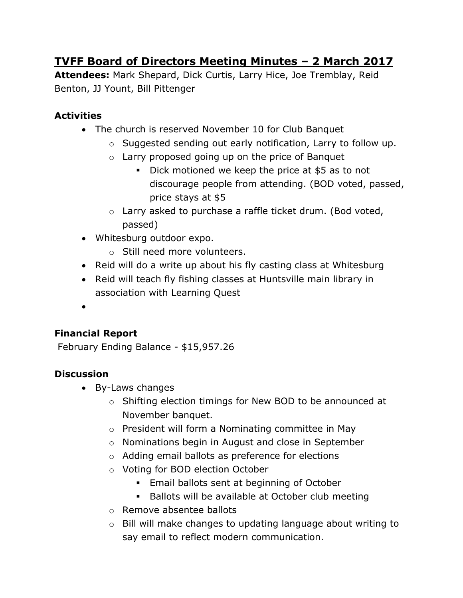# **TVFF Board of Directors Meeting Minutes – 2 March 2017**

**Attendees:** Mark Shepard, Dick Curtis, Larry Hice, Joe Tremblay, Reid Benton, JJ Yount, Bill Pittenger

## **Activities**

- The church is reserved November 10 for Club Banquet
	- o Suggested sending out early notification, Larry to follow up.
	- $\circ$  Larry proposed going up on the price of Banquet
		- Dick motioned we keep the price at \$5 as to not discourage people from attending. (BOD voted, passed, price stays at \$5
	- o Larry asked to purchase a raffle ticket drum. (Bod voted, passed)
- Whitesburg outdoor expo.
	- o Still need more volunteers.
- Reid will do a write up about his fly casting class at Whitesburg
- Reid will teach fly fishing classes at Huntsville main library in association with Learning Quest
- $\bullet$

## **Financial Report**

February Ending Balance - \$15,957.26

### **Discussion**

- By-Laws changes
	- o Shifting election timings for New BOD to be announced at November banquet.
	- o President will form a Nominating committee in May
	- o Nominations begin in August and close in September
	- o Adding email ballots as preference for elections
	- o Voting for BOD election October
		- **Email ballots sent at beginning of October**
		- **Ballots will be available at October club meeting**
	- o Remove absentee ballots
	- o Bill will make changes to updating language about writing to say email to reflect modern communication.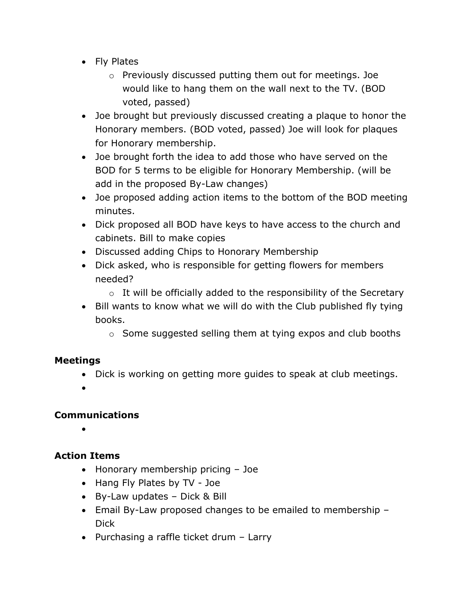- Fly Plates
	- o Previously discussed putting them out for meetings. Joe would like to hang them on the wall next to the TV. (BOD voted, passed)
- Joe brought but previously discussed creating a plaque to honor the Honorary members. (BOD voted, passed) Joe will look for plaques for Honorary membership.
- Joe brought forth the idea to add those who have served on the BOD for 5 terms to be eligible for Honorary Membership. (will be add in the proposed By-Law changes)
- Joe proposed adding action items to the bottom of the BOD meeting minutes.
- Dick proposed all BOD have keys to have access to the church and cabinets. Bill to make copies
- Discussed adding Chips to Honorary Membership
- Dick asked, who is responsible for getting flowers for members needed?
	- $\circ$  It will be officially added to the responsibility of the Secretary
- Bill wants to know what we will do with the Club published fly tying books.
	- o Some suggested selling them at tying expos and club booths

#### **Meetings**

- Dick is working on getting more guides to speak at club meetings.
- $\bullet$

#### **Communications**

 $\bullet$ 

### **Action Items**

- Honorary membership pricing Joe
- Hang Fly Plates by TV Joe
- By-Law updates Dick & Bill
- Email By-Law proposed changes to be emailed to membership Dick
- Purchasing a raffle ticket drum Larry